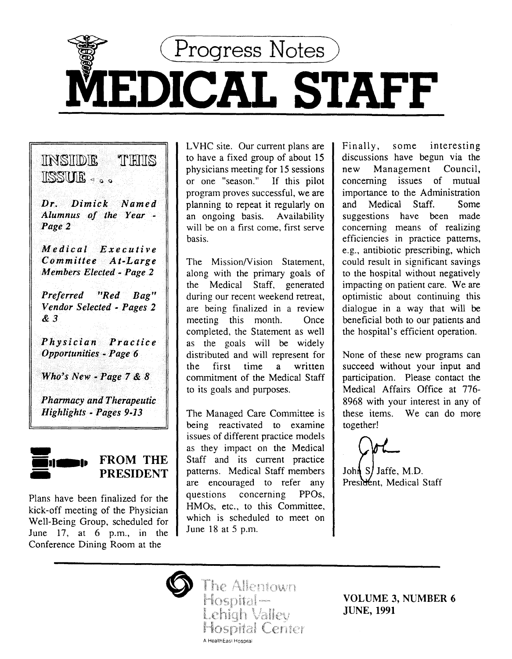

# INSIIDIE TIHIIS ll§§UJJ.E <l Q <l

*Dr. Dimick Named Alumnus of the Year* - *Page2* 

*Medical Executive Committee At-Large Members Elected- Page2* 

*Preferred "Red Bag" Vendor Selected- Pages 2*  &3

*Physician Practice Opportunities* - *Page* 6

*WhO's New -.Page 7* & *8* 

*Pharmacy and Therapeutic Highlights- Pages 9-13* 



FROM THE PRESIDENT

Plans have been finalized for the kick-off meeting of the Physician Well-Being Group, scheduled for June  $17$ , at 6 p.m., in the Conference Dining Room at the

LVHC site. Our current plans are to have a fixed group of about 15 physicians meeting for 15 sessions or one "season." If this pilot program proves successful, we are planning to repeat it regularly on an ongoing basis. Availability will be on a first come, first serve basis.

The Mission/Vision Statement, along with the primary goals of the Medical Staff, generated during our recent weekend retreat, are being finalized in a review meeting this month. Once completed, the Statement as well as the goals will be widely distributed and will represent for the first time a written commitment of the Medical Staff to its goals and purposes.

The Managed Care Committee is being reactivated to examine issues of different practice models as they impact on the Medical Staff and its current practice patterns. Medical Staff members are encouraged to refer any questions concerning PPOs, HMOs, etc., to this Committee, which is scheduled to meet on June 18 at 5 p.m.

Finally, some interesting discussions have begun via the new Management Council, concerning issues of mutual importance to the Administration and Medical Staff. Some suggestions have been made concerning means of realizing efficiencies in practice patterns, e.g., antibiotic prescribing, which could result in significant savings to the hospital without negatively impacting on patient care. We are optimistic about continuing this dialogue in a way that will be beneficial both to our patients and the hospital's efficient operation.

None of these new programs can succeed without your input and participation. Please contact the Medical Affairs Office at 776- 8968 with your interest in any of these items. We can do more together!

John S/ Jaffe, M.D. President, Medical Staff

The Allentown Hospital<br>Lehigh Valley **Hospital Ceriter** A HealthEasl Hospital

VOLUME 3, NUMBER 6 JUNE, 1991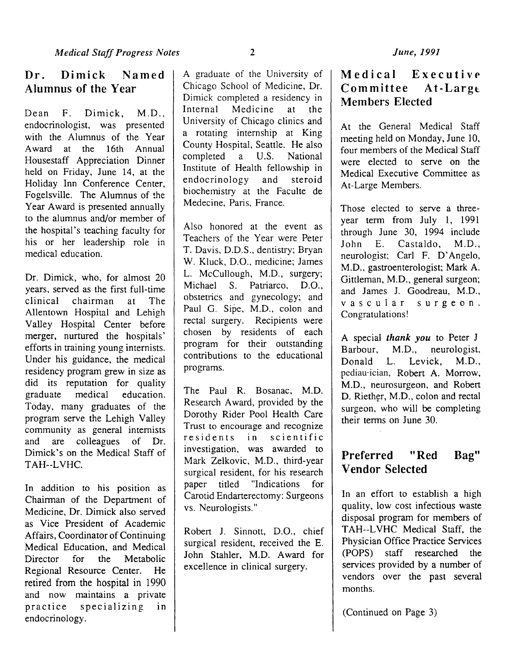Dean F. Dimick, M.D., endocrinologist, was presented with the Alumnus of the Year Award at the 16th Annual Housestaff Appreciation Dinner held on Friday, June 14, at the Holiday Inn Conference Center, Fogelsville. The Alumnus of the Year Award is presented annually to the alumnus and/or member of the hospital's teaching faculty for his or her leadership role in medical education.

Dr. Dimick, who, for almost 20 years, served as the first full-time clinical chairman at The Allentown Hospital and Lehigh Valley Hospital Center before merger, nurtured the hospitals' efforts in training young internists. Under his guidance, the medical residency program grew in size as did its reputation for quality graduate medical education. Today, many graduates of the program serve the Lehigh Valley community as general internists and are colleagues of Dr. Dimick's on the Medical Staff of TAH--LVHC.

In addition to his position as Chairman of the Department of Medicine, Dr. Dimick also served as Vice President of Academic Affairs, Coordinator of Continuing Medical Education, and Medical Director for the Metabolic Regional Resource Center. He retired from the hospital in 1990 and now maintains a private practice specializing in endocrinology.

A graduate of the University of Chicago School of Medicine, Dr. Dimick completed a residency in<br>Internal Medicine at the Medicine at the University of Chicago clinics and a rotating internship at King County Hospital, Seattle. He also<br>completed a U.S. National completed Institute of Health fellowship in endocrinology and steroid biochemistry at the Faculte de Medecine, Paris, France.

Also honored at the event as Teachers of the Year were Peter T. Davis, D.D.S., dentistry; Bryan W. Kluck, D.O., medicine; James L. McCullough, M.D., surgery; Michael S. Patriarco, D.O., obstetrics and gynecology; and Paul G. Sipe, M.D., colon and rectal surgery. Recipients were chosen by residents of each program for their outstanding contributions to the educational programs.

The Paul R. Bosanac, M.D. Research Award, provided by the Dorothy Rider Pool Health Care Trust to encourage and recognize<br>residents in scientific residents in investigation, was awarded to Mark Zelkovic, M.D., third-year surgical resident, for his research paper titled "Indications for Carotid Endarterectomy: Surgeons vs. Neurologists."

Robert J. Sinnott, D.O., chief surgical resident, received the E. John Stahler, M.D. Award for excellence in clinical surgery.

# Medical Executive Committee At-Largt Members Elected

At the General Medical Staff meeting held on Monday, June 10, four members of the Medical Staff were elected to serve on the Medical Executive Committee as At-Large Members.

Those elected to serve a threeyear term from July 1, 1991 through June 30, 1994 include John E. Castaldo, M.D., neurologist; Carl F. D'Angelo, M.D., gastroenterologist; Mark A. Gittleman, M.D., general surgeon; and James J. Goodreau, M.D., vascular surgeon. Congratulations!

A special *thank you* to Peter J Barbour, M.D., neurologist, Donald L. Levick, M.D., pediau·ician, Robert A. Morrow, M.D., neurosurgeon, and Robert D. Riether, M.D., colon and rectal surgeon, who will be completing their terms on June 30.

# Preferred "Red Bag" **Vendor Selected**

In an effort to establish a high quality, low cost infectious waste disposal program for members of TAH--LVHC Medical Staff, the Physician Office Practice Services (POPS) staff researched the services provided by a number of vendors over the past several months.

(Continued on Page 3)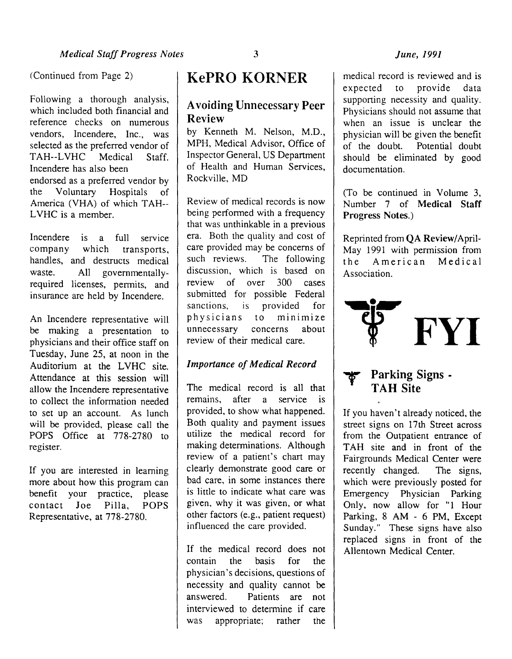## *June, 1991*

(Continued from Page 2)

Following a thorough analysis, which included both financial and reference checks on numerous vendors, Incendere, Inc., was selected as the preferred vendor of TAH--LVHC Medical Staff. Incendere has also been endorsed as a preferred vendor by the Voluntary Hospitals of America (VHA) of which TAH--LVHC is a member.

Incendere is a full service company which transports, handles, and destructs medical waste. All governmentallyrequired licenses, permits, and insurance are held by Incendere.

An lncendere representative will be making a presentation to physicians and their office staff on Tuesday, June 25, at noon in the Auditorium at the LVHC site. Attendance at this session will allow the Incendere representative to collect the information needed to set up an account. As lunch will be provided, please call the POPS Office at 778-2780 to register.

If you are interested in learning more about how this program can benefit your practice, please contact Joe Pilla, POPS Representative, at 778-2780.

# KePRO KORNER

## A voiding Unnecessary Peer Review

by Kenneth M. Nelson, M.D., MPH, Medical Advisor, Office of Inspector General, US Department of Health and Human Services, Rockville, MD

Review of medical records is now being performed with a frequency that was unthinkable in a previous era. Both the quality and cost of care provided may be concerns of such reviews. The following discussion, which is based on review of over 300 cases submitted for possible Federal sanctions, is provided for physicians to minimize unnecessary concerns about review of their medical care.

### *Importance of Medical Record*

The medical record is all that remains, after a service is provided, to show what happened. Both quality and payment issues utilize the medical record for making determinations. Although review of a patient's chart may clearly demonstrate good care or bad care, in some instances there is little to indicate what care was given, why it was given, or what other factors (e.g., patient request) influenced the care provided.

If the medical record does not contain the basis for the physician's decisions, questions of necessity and quality cannot be answered. Patients are not interviewed to determine if care was appropriate; rather the

medical record is reviewed and is expected to provide data supporting necessity and quality. Physicians should not assume that when an issue is unclear the physician will be given the benefit of the doubt. Potential doubt should be eliminated by good documentation.

(To be continued in Volume 3, Number 7 of Medical Staff Progress Notes.)

Reprinted from QA Review/April-May 1991 with permission from the American Medical



Parking Signs -TAH Site

If you haven't already noticed, the street signs on 17th Street across from the Outpatient entrance of TAH site and in front of the Fairgrounds Medical Center were recently changed. The signs, which were previously posted for Emergency Physician Parking Only, now allow for "1 Hour Parking, 8 AM - 6 PM, Except Sunday." These signs have also replaced signs in front of the Allentown Medical Center.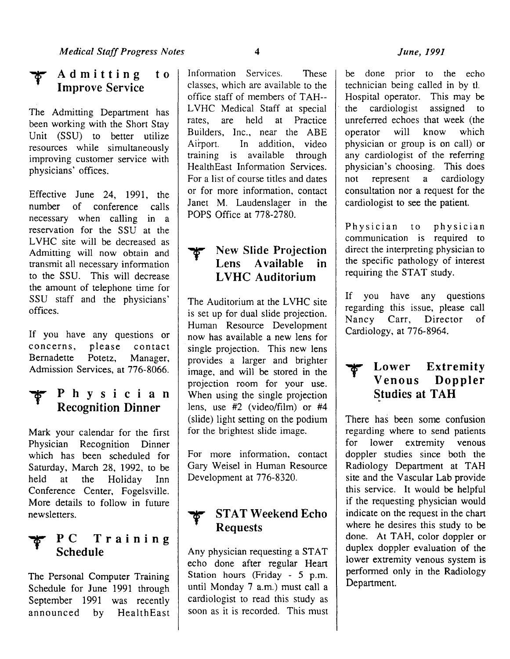#### Admitting Improve Service  $t<sub>0</sub>$

The Admitting Department has been working with the Short Stay Unit (SSU) to better utilize resources while simultaneously improving customer service with physicians' offices.

Effective June 24, 1991, the number of conference calls necessary when calling in a reservation for the SSU at the LVHC site will be decreased as Admitting will now obtain and transmit all necessary information to the SSU. This will decrease the amount of telephone time for SSU staff and the physicians' offices.

If you have any questions or concerns, please contact Bernadette Potetz, Manager, Admission Services, at 776-8066.

# Physician Recognition Dinner

Mark your calendar for the first Physician Recognition Dinner which has been scheduled for Saturday, March 28, 1992, to be held at the Holiday Inn Conference Center, Fogelsville. More details to follow in future newsletters.

# PC Training Schedule

The Personal Computer Training Schedule for June 1991 through September 1991 was recently announced by HealthEast Information Services. These classes, which are available to the office staff of members of TAH--LVHC Medical Staff at special rates, are held at Practice Builders, Inc., near the ABE Airport. In addition, video training is available through HealthEast Information Services. For a list of course titles and dates or for more information, contact Janet M. Laudenslager in the POPS Office at 778-2780.

# New Slide Projection Lens Available in LVHC Auditorium

The Auditorium at the LVHC site is set up for dual slide projection. Human Resource Development now has available a new lens for single projection. This new lens provides a larger and brighter image, and will be stored in the projection room for your use. When using the single projection lens, use #2 (video/film) or #4 (slide) light setting on the podium for the brightest slide image.

For more information, contact Gary Weisel in Human Resource Development at 776-8320.

# T STAT Weekend Echo Requests

Any physician requesting a STAT echo done after regular Heart Station hours (Friday - 5 p.m. until Monday 7 a.m.) must call a cardiologist to read this study as soon as it is recorded. This must

## *June, 1991*

be done prior to the echo technician being called in by d. Hospital operator. This may be the cardiologist assigned to unreferred echoes that week (the operator will know which physician or group is on call) or any cardiologist of the referring physician's choosing. This does not represent a cardiology consultation nor a request for the cardiologist to see the patient.

Physician to physician communication is required to direct the interpreting physician to the specific pathology of interest requiring the STAT study.

If you have any questions regarding this issue, please call Nancy Carr, Director of Cardiology, at 776-8964.

# **The Lower Extremity**<br>Venous Doppler Doppler **Studies at TAH**

There has been some confusion regarding where to send patients for lower extremity venous doppler studies since both the Radiology Department at TAH site and the Vascular Lab provide this service. It would be helpful if the requesting physician would indicate on the request in the chart where he desires this study to be done. At TAH, color doppler or duplex doppler evaluation of the lower extremity venous system is performed only in the Radiology Department.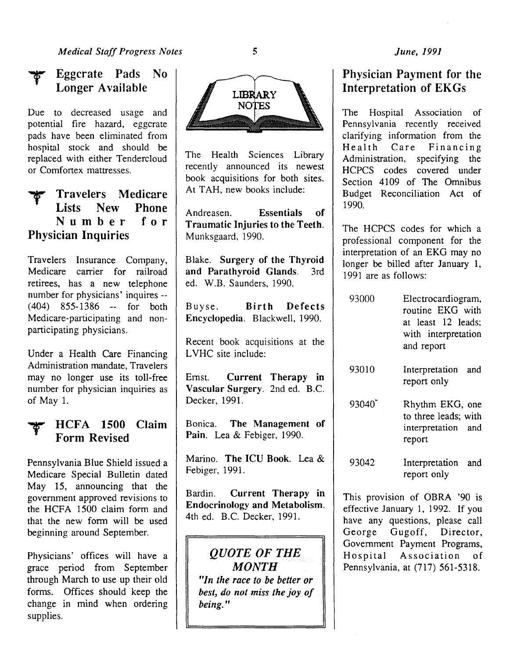

## Eggcrate Pads No Longer Available

Due to decreased usage and potential fire hazard, eggcrate pads have been eliminated from hospital stock and should be replaced with either Tendercloud or Comfortex mattresses.

# Travelers Medicare<br>Lists New Phone Lists New Number for Physician Inquiries

Travelers Insurance Company, Medicare carrier for railroad retirees, has a new telephone number for physicians' inquires--  $(404)$  855-1386 -- for both Medicare-participating and nonparticipating physicians.

Under a Health Care Financing Administration mandate, Travelers may no longer use its toll-free number for physician inquiries as of May 1.

## HCFA 1500 Claim Form Revised

Pennsylvania Blue Shield issued a Medicare Special Bulletin dated May 15, announcing that the government approved revisions to the HCFA 1500 claim form and that the new form will be used beginning around September.

Physicians' offices will have a grace period from September through March to use up their old forms. Offices should keep the change in mind when ordering supplies.



The Health Sciences Library recently announced its newest book acquisitions for both sites. At TAH, new books include:

Andreasen. Essentials of Traumatic Injuries to the Teeth. Munksgaard, 1990.

Blake. Surgery of the Thyroid and Parathyroid Glands. 3rd ed. W.B. Saunders, 1990.

Buyse. Birth Defects Encyclopedia. Blackwell, 1990.

Recent book acquisitions at the LVHC site include:

Emst. Current Therapy in Vascular Surgery. 2nd ed. B.C. Decker, 1991.

Bonica. The Management of Pain. Lea & Febiger, 1990.

Marino. The ICU Book. Lea & Febiger, 1991.

Bardin. Current Therapy in Endocrinology and Metabolism. 4th ed. B.C. Decker, 1991.

*QUOTE OF THE MONTH "In the race to be better or*  best, do not miss the joy of *being."* 

## *June, 1991*

## Physician Payment for the Interpretation of EKGs

The Hospital Association of Pennsylvania recently received clarifying information from the Health Care Financing Administration, specifying the HCPCS codes covered under Section 4109 of The Omnibus Budget Reconciliation Act of 1990.

The HCPCS codes for which a professional component for the interpretation of an EKG may no longer be billed after January 1, 1991 are as follows:

- 93000 Electrocardiogram, routine EKG with at least 12 leads; with interpretation and report
- 93010 Interpretation and report only
- $93040^*$ Rhythm EKG, one to three leads; with interpretation and report
- 93042 Interpretation and report only

This provision of OBRA '90 is effective January 1, 1992. If you have any questions, please call George Gugoff, Director, Govemment Payment Programs, Hospital Association of Pennsylvania, at (717) 561-5318.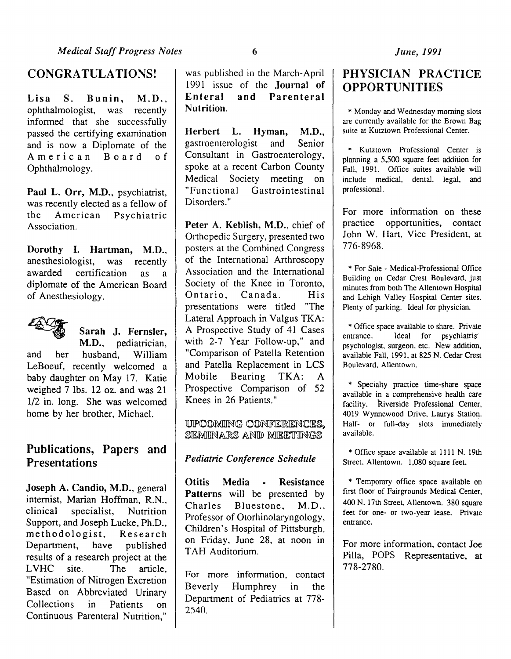## CONGRATULATIONS!

Lisa S. Bunin, M.D., ophthalmologist, was recently informed that she successfully passed the certifying examination and is now a Diplomate of the American Board of Ophthalmology.

Paul L. Orr, M.D., psychiatrist, was recently elected as a fellow of<br>the American Psychiatric Psychiatric Association.

Dorothy I. Hartman, M.D., anesthesiologist, was recently awarded certification as a diplomate of the American Board of Anesthesiology.



Sarah J. Fernsler, M.D., pediatrician,

and her husband, William LeBoeuf, recently welcomed a baby daughter on May 17. Katie weighed 7 lbs. 12 oz. and was 21 1/2 in. long. She was welcomed home by her brother, Michael.

# Publications, Papers and **Presentations**

Joseph A. Candio, M.D., general internist, Marian Hoffman, R.N., clinical specialist, Nutrition Support, and Joseph Lucke, Ph.D., methodologist, Research Department, have published results of a research project at the LVHC site. The article, "Estimation of Nitrogen Excretion Based on Abbreviated Urinary Collections in Patients on Continuous Parenteral Nutrition,"

was published in the March-April 1991 issue of the **Journal of**<br>Enteral and Parenteral and Parenteral Nutrition.

Herbert L. Hyman, M.D., gastroenterologist and Senior Consultant in Gastroenterology, spoke at a recent Carbon County Medical Society meeting on "Functional Gastrointestinal Disorders."

Peter A. Keblish, M.D., chief of Orthopedic Surgery, presented two posters at the Combined Congress of the International Arthroscopy Association and the International Society of the Knee in Toronto, Ontario, Canada. His presentations were titled "The Lateral Approach in Valgus TKA: A Prospective Study of 41 Cases with 2-7 Year Follow-up," and "Comparison of Patella Retention and Patella Replacement in LCS Mobile Bearing TKA: A Prospective Comparison of 52 Knees in 26 Patients."

UPCOMING CONFERENCES. SEMINARS AND MEETINGS

## *Pediatric Conference Schedule*

Otitis Media - Resistance Patterns will be presented by Charles Bluestone, M.D., Professor of Otorhinolaryngology, Children's Hospital of Pittsburgh, on Friday, June 28, at noon in TAH Auditorium.

For more information, contact Beverly Humphrey in the Department of Pediatrics at 778-2540.

# PHYSICIAN PRACTICE **OPPORTUNITIES**

\* Monday and Wednesday morning slots are currently available for the Brown Bag suite at Kutztown Professional Center.

\* Kutztown Professional Center is planning a 5,500 square feet addition for Fall, 1991. Office suites available will include medical, dental, legal, and professional.

For more information on these practice opportunities, contact John W. Hart, Vice President, at 776-8968.

\*For Sale - Medical-Professional Office Building on Cedar Crest Boulevard, just minutes from both The Allentown Hospital and Lehigh Valley Hospital Center sites. Plenty of parking. Ideal for physician.

\* Office space available to share. Private entrance. Ideal for psychiatris' psychologist, surgeon, etc. New addition, available Fall, 1991, at 825 N. Cedar Crest Boulevard. Allentown.

\* Specialty practice time-share space available in a comprehensive health care facility, Riverside Professional Center, 4019 Wynnewood Drive, Laurys Station. Half- or full-day slots immediately available.

\* Office space available at 1111 N. 19th Street, Allentown. 1,080 square feet.

\* Temporary office space available on first floor of Fairgrounds Medical Center, 400 N. 17th Street, Allentown. 380 square feet for one- or two-year lease. Private entrance.

For more information, contact Joe Pilla, POPS Representative, at 778-2780.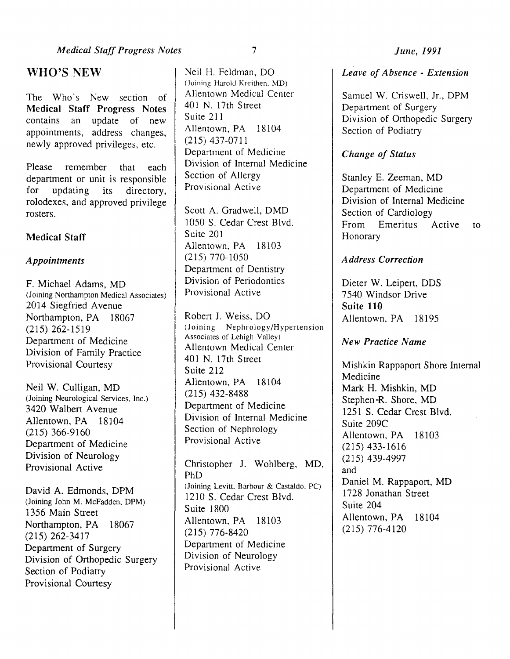## WHO'S NEW

The Who's New section of Medical Staff Progress Notes contains an update of new appointments, address changes, newly approved privileges, etc.

Please remember that each department or unit is responsible<br>for updating its directory, for updating its directory, rolodexes, and approved privilege rosters.

## Medical Staff

## *Appointments*

F. Michael Adams, MD (Joining Northampton Medical Associates) 2014 Siegfried Avenue Northampton, PA 18067 (215) 262-1519 Department of Medicine Division of Family Practice Provisional Courtesy

Neil W. Culligan, MD (Joining Neurological Services. Inc.) 3420 Walbert Avenue Allentown, PA 18104 (215) 366-9160 Department of Medicine Division of Neurology Provisional Active

David A. Edmonds, DPM (Joining John M. McFadden. DPM) 1356 Main Street Northampton, PA 18067 (215) 262-3417 Department of Surgery Division of Orthopedic Surgery Section of Podiatry Provisional Courtesy

Neil H. Feldman, DO (Joining Harold Krcithen. MD) Allentown Medical Center 401 N. 17th Street Suite 211 Allentown, PA 18104 (215) 437-0711 Department of Medicine Division of Internal Medicine Section of Allergy Provisional Active

Scott A. Gradwell, DMD 1050 S. Cedar Crest Blvd. Suite 201 Allentown, PA 18103 (215) 770-1050 Department of Dentistry Division of Periodontics Provisional Active

Robert J. Weiss, DO (Joining Nephrology/Hypertension Associates of Lehigh Valley) Allentown Medical Center 401 N. 17th Street Suite 212 Allentown, PA 18104 (215) 432-8488 Department of Medicine Division of Internal Medicine Section of Nephrology Provisional Active

Christopher J. Wohlberg, MD, PhD (Joining Levitt. Barbour & Castaldo. PC) 1210 S. Cedar Crest Blvd. Suite 1800 Allentown. PA 18103 (215) 776-8420 Department of Medicine Division of Neurology Provisional Active

*Leave of Absence* - *Extension* 

Samuel W. Criswell, Jr., DPM Department of Surgery Division of Orthopedic Surgery Section of Podiatry

## *Change of Status*

Stanley E. Zeeman, MD Department of Medicine Division of Internal Medicine Section of Cardiology From Emeritus Active to Honorary

## *Address Correction*

Dieter W. Leipert, DDS 7 540 Windsor Drive Suite 110 Allentown, PA 18195

## *New Practice Name*

Mishkin Rappaport Shore Internal Medicine Mark H. Mishkin, MD Stephen -R. Shore, MD 1251 S. Cedar Crest Blvd. Suite 209C Allentown, PA 18103 (215) 433-1616 (215) 439-4997 and Daniel M. Rappaport, MD 1728 Jonathan Street Suite 204 Allentown, PA 18104 (215) 776-4120

7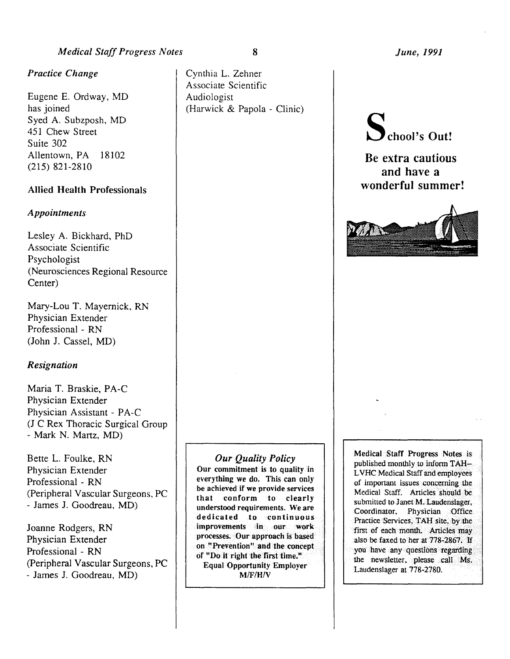## *Medical Staff Progress Notes*

### *Practice Change*

Eugene E. Ordway, MD has joined Syed A. Subzposh, MD 451 Chew Street Suite 302 Allentown, PA 18102 (215) 821-2810

## Allied Health Professionals

#### *Appointments*

Lesley A. Bickhard, PhD Associate Scientific Psychologist (Neurosciences Regional Resource Center)

Mary-Lou T. Mayernick, RN Physician Extender Professional - RN (John J. Cassel, MD)

#### *Resignation*

Maria T. Braskie, PA-C Physician Extender Physician Assistant - PA-C (J C Rex Thoracic Surgical Group - Mark N. Martz, MD)

Bette L. Foulke, RN Physician Extender Professional - RN (Peripheral Vascular Surgeons, PC -James J. Goodreau, MD)

Joanne Rodgers, RN Physician Extender Professional - RN (Peripheral Vascular Surgeons, PC - James J. Goodreau, MD)

Our commitment is to quality In everything we do. This can only be achieved if we provide services that conform to clearly understood requirements. We are dedicated to continuous improvements in our work processes; • Our approach is based on "Prevention" and the concept of "Do it right the first time." Equal Opportunity Employer  $M/F/H/V$ 

*Our Quality Policy* 

*June, 1991* 



Be extra cautious and have a wonderful summer!



Medical Staff Progress Notes is published monthly to inform TAH--LVHC Medical Staff and employees of important issues concerning the Medical Staff. Articles should be submitted to Janet M.Laudenslager, Coordinator, Physician Office Practice Services, TAH site, by the first of each month. Articles may also be faxed to her at 778-2867. If you have any questions regarding the newsletter, please call Ms. Laudenslager at 778-2780.

8

(Harwick & Papola - Clinic)

Cynthia L. Zehner Associate Scientific

Audiologist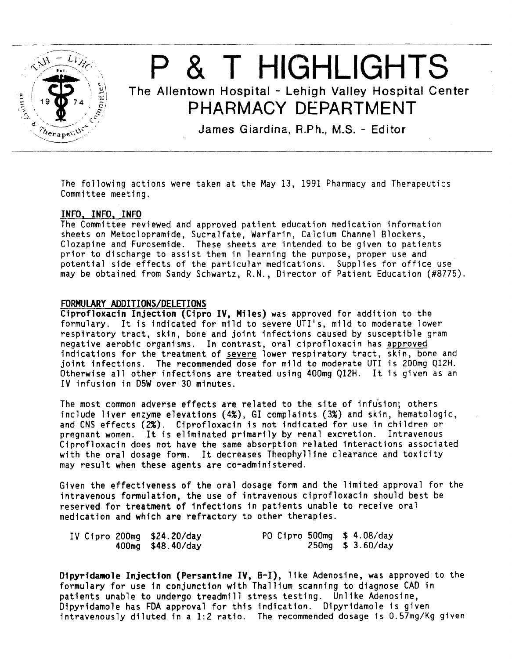

# P & T HIGHLIGHTS The Allentown Hospital - Lehigh Valley Hospital Center **PHARMACY DEPARTMENT**

James Giardina, R.Ph., M.S. - Editor

The following actions were taken at the May 13, 1991 Pharmacy and Therapeutics Committee meeting.

#### INFO, INFO, INFO

The Committee reviewed and approved patient education medication information sheets on Metoclopramide, Sucralfate, Warfarin, Calcium Channel Blockers, Clozapine and Furosemide. These sheets are intended to be given to patients prior to discharge to assist them in learning the purpose, proper use and potential side effects of the particular medications. Supplies for office use may be obtained from Sandy Schwartz, R.N., Director of Patient Education (#8775).

#### FORMULARY ADDITIONS/DELETIONS

Ciprofloxacin Injection (Cipro IV, Miles) was approved for addition to the formulary. It is indicated for mild to severe UTI's, mild to moderate lower respiratory tract, skin, bone and joint infections caused by susceptible gram negative aerobic organisms. In contrast, oral ciprofloxacin has approved indications for the treatment of severe lower respiratory tract, skin, bone and joint infections. The recommended dose for mild to moderate UTI is 200mg Q12H. Otherwise all other infections are treated using 400mg Q12H. It is given as an IV infusion in DSW over 30 minutes.

The most common adverse effects are related to the site of infusion; others include liver enzyme elevations (4%), GI complaints (3%) and skin, hematologic, and CNS effects (2%). Ciprofloxacin is not indicated for use in children or pregnant women. It is eliminated primarily by renal excretion. Intravenous Ciprofloxacin does not have the same absorption related interactions associated with the oral dosage form. It decreases Theophylline clearance and toxicity may result when these agents are co-administered.

Given the effectiveness of the oral dosage form and the limited approval for the intravenous formulation, the use of intravenous ciprofloxacin should best be reserved for treatment of infections in patients unable to receive oral medication and which are refractory to other therapies.

| IV Cipro 200mg \$24.20/day |                     | PO Cipro 500mg \$ 4.08/day |  |                     |
|----------------------------|---------------------|----------------------------|--|---------------------|
|                            | $400mg$ \$48.40/day |                            |  | $250mg$ \$ 3.60/day |

Dipyridamole Injection (Persantine IV, B-I), like Adenosine, was approved to the formulary for use in conjunction with Thallium scanning to diagnose CAD in patients unable to undergo treadmill stress testing. Unlike Adenosine,<br>Dipyridamole has FDA approval for this indication. Dipyridamole is given intravenously diluted in a 1:2 ratio. The recommended dosage is 0.57mg/Kg given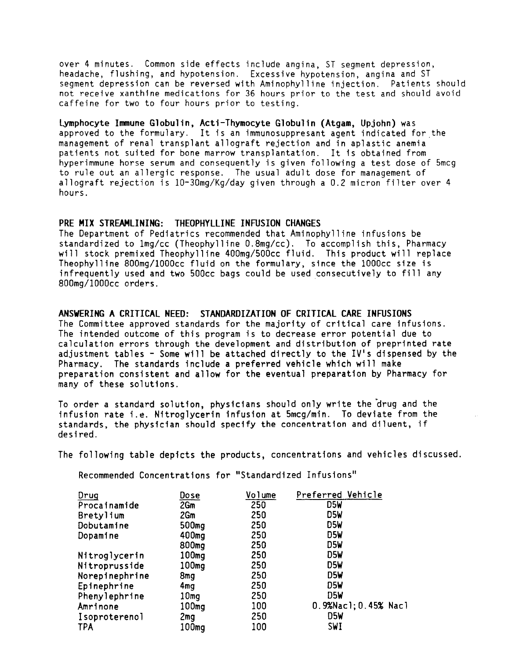over 4 minutes. Common side effects include angina, ST segment depression, headache, flushing, and hypotension. Excessive hypotension, angina and ST segment depression can be reversed with Aminophylline injection. Patients should not receive xanthine medications for 36 hours prior to the test and should avoid caffeine for two to four hours prior to testing.

lymphocyte Immune Globulin, Acti-Thymocyte Globulin (Atgam, Upjohn) was approved to the formulary. It is an immunosuppresant agent indicated for the management of renal transplant allograft rejection and in aplastic anemia patients not suited for bone marrow transplantation. It is obtained from hyperimmune horse serum and consequently is given following a test dose of 5mcg to rule out an allergic response. The usual adult dose for management of allograft rejection is 10-30mg/Kg/day given through a 0.2 micron filter over 4 hours.

#### PRE MIX STREAMLINING: THEOPHYLLINE INFUSION CHANGES

The Department of Pediatrics recommended that Aminophylline infusions be standardized to lmg/cc (Theophylline 0.8mg/cc). To accomplish this, Pharmacy will stock premixed Theophylline 400mg/500cc fluid. This product will replace Theophylline 800mg/1000cc fluid on the formulary, since the lOOOcc size is infrequently used and two 500cc bags could be used consecutively to fill any 800mg/1000cc orders. ·

#### ANSWERING A CRITICAL NEED: STANDARDIZATION OF CRITICAL CARE INFUSIONS

The Committee approved standards for the majority of critical care infusions. The intended outcome of this program is to decrease error potential due to calculation errors through the development and distribution of preprinted rate adjustment tables- Some will be attached directly to the IV's dispensed by the Pharmacy. The standards include a preferred vehicle which will make preparation consistent and allow for the eventual preparation by Pharmacy for many of these solutions.

To order a standard solution, physicians should only write the drug and the infusion rate i.e. Nitroglycerin infusion at Smcg/min. To deviate from the standards, the physician should specify the concentration and diluent, if desired. desired. ·

The following table depicts the products, concentrations and vehicles discussed.

Recommended Concentrations for "Standardized Infusions"

| Drug           | <u>Dose</u>       | Volume | Preferred Vehicle    |
|----------------|-------------------|--------|----------------------|
| Procainamide   | 2Gm               | 250    | D5W                  |
| Bretylium      | 2Gm               | 250    | D5W                  |
| Dobutamine     | 500mg             | 250    | D5W                  |
| Dopamine       | 400 <sub>mq</sub> | 250    | D5W                  |
|                | 800mg             | 250    | D5W                  |
| Nitroglycerin  | 100 <sub>mg</sub> | 250    | D5W                  |
| Nitroprusside  | 100 <sub>mg</sub> | 250    | D5W                  |
| Norepinephrine | 8mg               | 250    | D5W                  |
| Epinephrine    | 4mq               | 250    | D5W                  |
| Phenylephrine  | 10 <sub>mg</sub>  | 250    | D5W                  |
| Amrinone       | 100 <sub>mg</sub> | 100    | 0.9%Nacl; 0.45% Nacl |
| Isoproterenol  | 2mg               | 250    | D5W                  |
| TPA            | 100mg             | 100    | <b>SWI</b>           |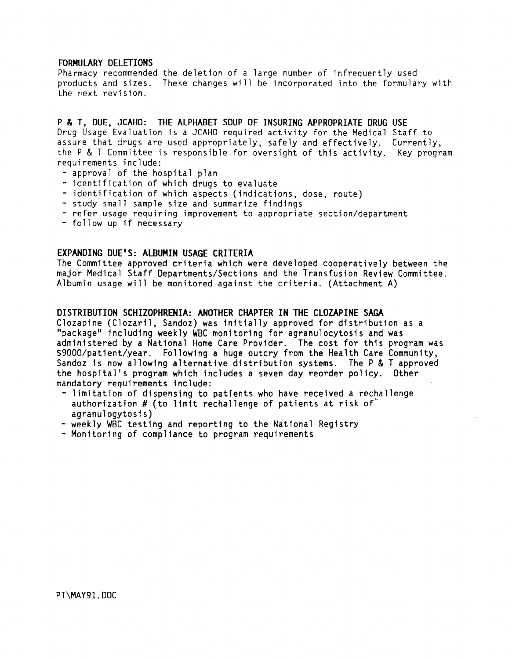#### FORMULARY DELETIONS

Pharmacy recommended the deletion of a large number of infrequently used products and sizes. These changes will be incorporated into the formulary with the next revision.

P & T, DUE, JCAHO: THE ALPHABET SOUP OF INSURING APPROPRIATE DRUG USE Drug Usage Evaluation is a JCAHO required activity for the Medical Staff to assure that drugs are used appropriately, safely and effectively. Currently, the P & T Committee is responsible for oversight of this activity. Key program requirements include:

- 
- 
- 
- 
- approval of the hospital plan<br>- identification of which drugs to evaluate<br>- identification of which aspects (indications, dose, route)<br>- study small sample size and summarize findings<br>- refer usage requiring improvement
- 

## EXPANDING DUE'S: ALBUMIN USAGE CRITERIA

The Committee approved criteria which were developed cooperatively between the major Medical Staff Departments/Sections and the Transfusion Review Committee. Albumin usage will be monitored against the criteria. (Attachment A)

#### DISTRIBUTION SCHIZOPHRENIA: ANOTHER CHAPTER IN THE CLOZAPINE SAGA

Clozapine (Clozaril, Sandoz) was initially approved for distribution as a "package" including weekly WBC monitoring for agranulocytosis and was administered by a National Home Care Provider. The cost for this program was \$9000/patient/year. Following a huge outcry from the Health Care Community, Sandoz is now allowing alternative distribution systems. The P & T approved the hospital's program which includes a seven day reorder policy. Other mandatory requirements include:<br>- limitation of dispensing to patients who have received a rechallenge

- authorization  $#$  (to limit rechallenge of patients at risk of $#$ agranulogytosis)
- weekly WBC testing and reporting to the National Registry
- Monitoring of compliance to program requirements

PT\MAY9l.DOC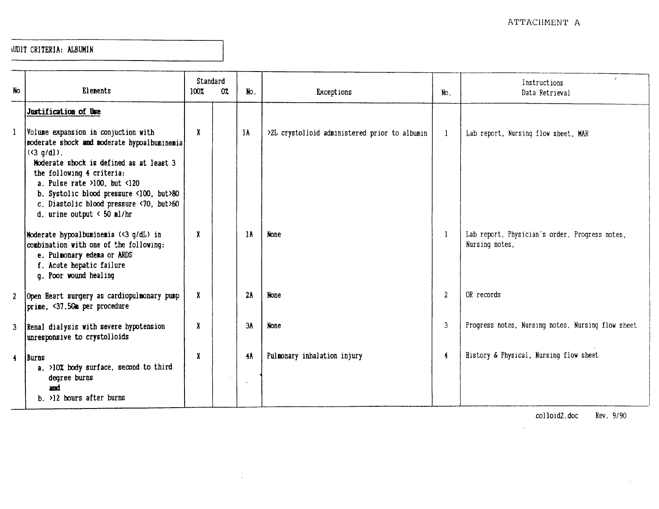## 1UDIT CRITERIA: ALBUMIN

|                      |                                                                                                                                                                                                                                                                                                                                     |                     | Standard |     |                                               |                  | Instructions                                                     |  |
|----------------------|-------------------------------------------------------------------------------------------------------------------------------------------------------------------------------------------------------------------------------------------------------------------------------------------------------------------------------------|---------------------|----------|-----|-----------------------------------------------|------------------|------------------------------------------------------------------|--|
| No                   | Elements                                                                                                                                                                                                                                                                                                                            | 100%                | 0%       | No. | <b>Exceptions</b>                             | No.              | Data Retrieval                                                   |  |
|                      | Justification of Use                                                                                                                                                                                                                                                                                                                |                     |          |     |                                               |                  |                                                                  |  |
| $\mathbf{1}$         | Volume expansion in conjuction with<br>noderate shock and moderate hypoalbuminemia<br>$(3 q/dl)$ .<br>Moderate shock is defined as at least 3<br>the following 4 criteria:<br>a. Pulse rate $>100$ , but <120<br>b. Systolic blood pressure <100, but>80<br>c. Diastolic blood pressure <70, but>60<br>d. urine output $< 50$ ml/hr | $\boldsymbol{\chi}$ |          | 1A  | >2L crystolloid administered prior to albumin | 1                | Lab report, Nursing flow sheet, MAR                              |  |
|                      | Moderate hypoalbuminemia (<3 g/dL) in<br>combination with one of the following:<br>e. Pulmonary edema or ARDS<br>f. Acute hepatic failure<br>q. Poor wound healing                                                                                                                                                                  | X                   |          | 1 A | <b>None</b>                                   | -1               | Lab report, Physician's order, Progress notes,<br>Nursing notes. |  |
| 2 <sup>7</sup>       | Open Heart surgery as cardiopulmonary pump<br>prime, <37.5Gm per procedure                                                                                                                                                                                                                                                          | X                   |          | 2A  | None                                          | $\boldsymbol{2}$ | OR records                                                       |  |
| $\mathbf{3}$         | Renal dialysis with severe hypotension<br>unresponsive to crystolloids                                                                                                                                                                                                                                                              | X                   |          | ЗΑ  | None                                          | 3                | Progress notes, Nursing notes, Nursing flow sheet                |  |
| $\blacktriangleleft$ | Burns<br>a. >10% body surface, second to third<br>degree burns<br>and<br>b. >12 hours after burns                                                                                                                                                                                                                                   | X                   |          | 4A  | Pulmonary inhalation injury                   | $\overline{4}$   | History & Physical, Nursing flow sheet                           |  |

 $\langle \frac{1}{2} \rangle$ 

colloid2. doc Rev. 9/90

 $\sim$ 

 $\sim$